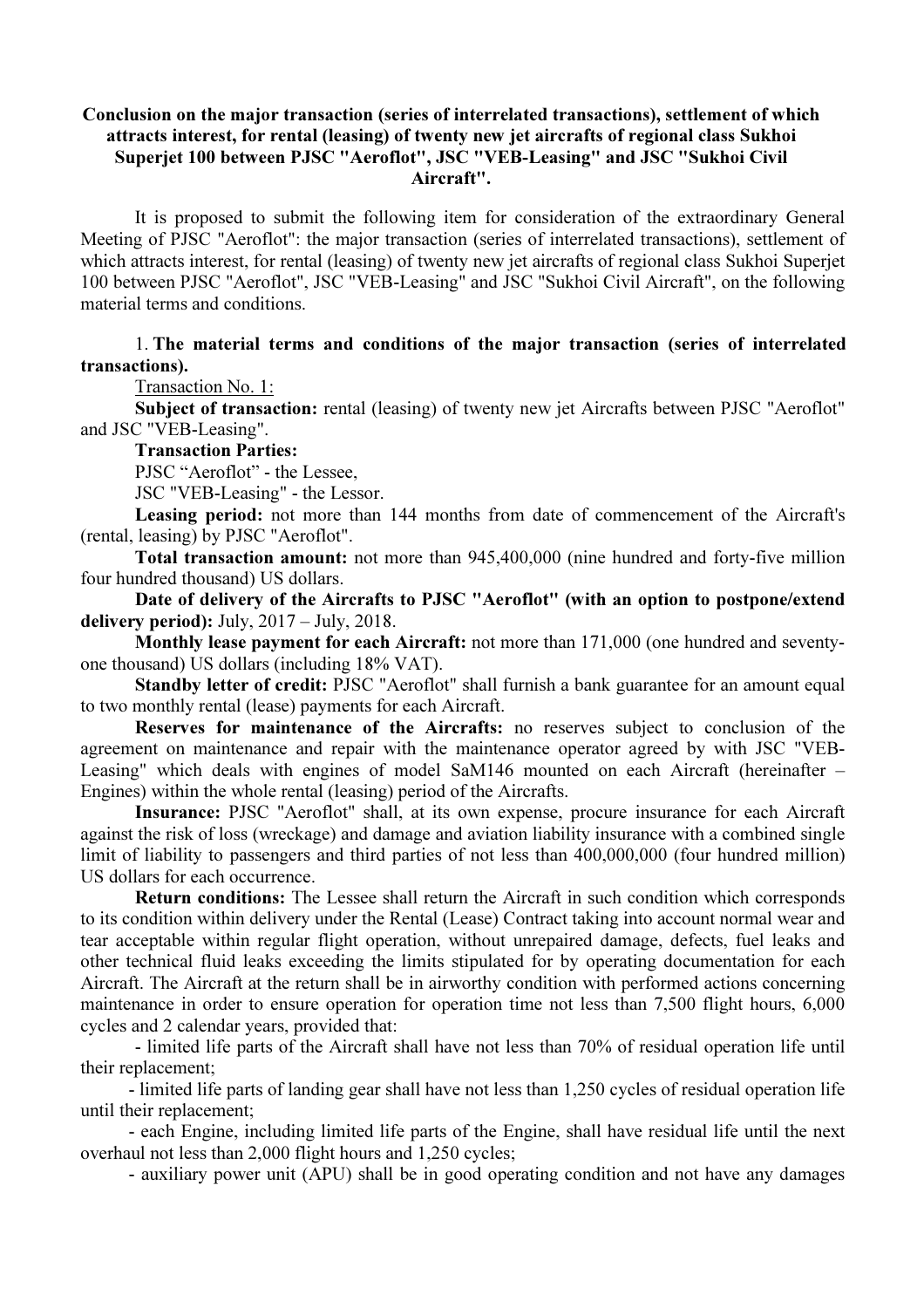## Conclusion on the major transaction (series of interrelated transactions), settlement of which attracts interest, for rental (leasing) of twenty new jet aircrafts of regional class Sukhoi Superjet 100 between PJSC "Aeroflot", JSC "VEB-Leasing" and JSC "Sukhoi Civil Aircraft".

It is proposed to submit the following item for consideration of the extraordinary General Meeting of PJSC "Aeroflot": the major transaction (series of interrelated transactions), settlement of which attracts interest, for rental (leasing) of twenty new jet aircrafts of regional class Sukhoi Superjet 100 between PJSC "Aeroflot", JSC "VEB-Leasing" and JSC "Sukhoi Civil Aircraft", on the following material terms and conditions.

## 1. The material terms and conditions of the major transaction (series of interrelated transactions).

Transaction No. 1:

Subject of transaction: rental (leasing) of twenty new jet Aircrafts between PJSC "Aeroflot" and JSC "VEB-Leasing".

Transaction Parties:

PJSC "Aeroflot" - the Lessee,

JSC "VEB-Leasing" - the Lessor.

Leasing period: not more than 144 months from date of commencement of the Aircraft's (rental, leasing) by PJSC "Aeroflot".

Total transaction amount: not more than 945,400,000 (nine hundred and forty-five million four hundred thousand) US dollars.

Date of delivery of the Aircrafts to PJSC "Aeroflot" (with an option to postpone/extend delivery period): July, 2017 – July, 2018.

Monthly lease payment for each Aircraft: not more than 171,000 (one hundred and seventyone thousand) US dollars (including 18% VAT).

Standby letter of credit: PJSC "Aeroflot" shall furnish a bank guarantee for an amount equal to two monthly rental (lease) payments for each Aircraft.

Reserves for maintenance of the Aircrafts: no reserves subject to conclusion of the agreement on maintenance and repair with the maintenance operator agreed by with JSC "VEB-Leasing" which deals with engines of model SaM146 mounted on each Aircraft (hereinafter – Engines) within the whole rental (leasing) period of the Aircrafts.

Insurance: PJSC "Aeroflot" shall, at its own expense, procure insurance for each Aircraft against the risk of loss (wreckage) and damage and aviation liability insurance with a combined single limit of liability to passengers and third parties of not less than 400,000,000 (four hundred million) US dollars for each occurrence.

Return conditions: The Lessee shall return the Aircraft in such condition which corresponds to its condition within delivery under the Rental (Lease) Contract taking into account normal wear and tear acceptable within regular flight operation, without unrepaired damage, defects, fuel leaks and other technical fluid leaks exceeding the limits stipulated for by operating documentation for each Aircraft. The Aircraft at the return shall be in airworthy condition with performed actions concerning maintenance in order to ensure operation for operation time not less than 7,500 flight hours, 6,000 cycles and 2 calendar years, provided that:

- limited life parts of the Aircraft shall have not less than 70% of residual operation life until their replacement;

- limited life parts of landing gear shall have not less than 1,250 cycles of residual operation life until their replacement;

- each Engine, including limited life parts of the Engine, shall have residual life until the next overhaul not less than 2,000 flight hours and 1,250 cycles;

- auxiliary power unit (APU) shall be in good operating condition and not have any damages